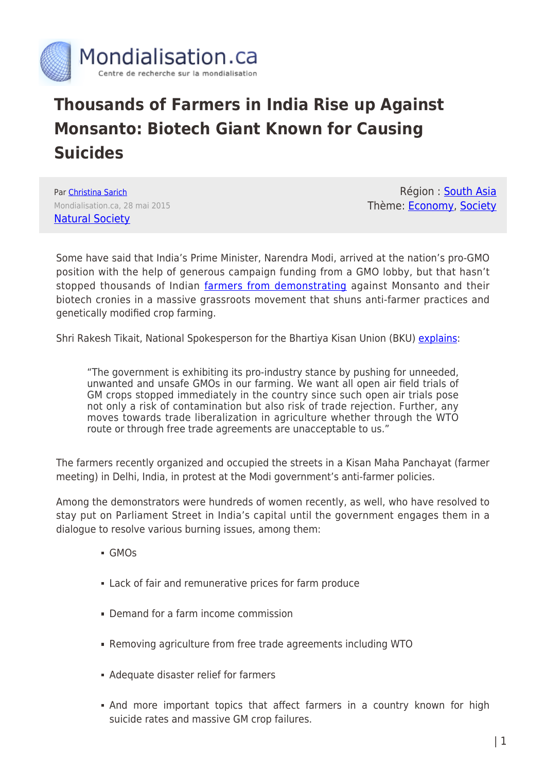

## **Thousands of Farmers in India Rise up Against Monsanto: Biotech Giant Known for Causing Suicides**

Par [Christina Sarich](https://www.mondialisation.ca/author/christina-sarich) Mondialisation.ca, 28 mai 2015 [Natural Society](http://naturalsociety.com/thousands-of-farmers-in-india-rise-up-against-monsanto/)

Région : [South Asia](https://www.mondialisation.ca/region/south-asia) Thème: [Economy,](https://www.mondialisation.ca/theme/as-economy) [Society](https://www.mondialisation.ca/theme/society)

Some have said that India's Prime Minister, Narendra Modi, arrived at the nation's pro-GMO position with the help of generous campaign funding from a GMO lobby, but that hasn't stopped thousands of Indian [farmers from demonstrating](http://www.gmwatch.org/index.%E2%80%A6/%E2%80%A6/archive/2015-articles/16008) against Monsanto and their biotech cronies in a massive grassroots movement that shuns anti-farmer practices and genetically modified crop farming.

Shri Rakesh Tikait, National Spokesperson for the Bhartiya Kisan Union (BKU) [explains:](http://bhartiyakisanunion.blogspot.in/2015/03/1000s-of-farmers-decide-to-stay-put-in.html)

"The government is exhibiting its pro-industry stance by pushing for unneeded, unwanted and unsafe GMOs in our farming. We want all open air field trials of GM crops stopped immediately in the country since such open air trials pose not only a risk of contamination but also risk of trade rejection. Further, any moves towards trade liberalization in agriculture whether through the WTO route or through free trade agreements are unacceptable to us."

The farmers recently organized and occupied the streets in a Kisan Maha Panchayat (farmer meeting) in Delhi, India, in protest at the Modi government's anti-farmer policies.

Among the demonstrators were hundreds of women recently, as well, who have resolved to stay put on Parliament Street in India's capital until the government engages them in a dialogue to resolve various burning issues, among them:

- GMOs
- Lack of fair and remunerative prices for farm produce
- Demand for a farm income commission
- Removing agriculture from free trade agreements including WTO
- Adequate disaster relief for farmers
- And more important topics that affect farmers in a country known for high suicide rates and massive GM crop failures.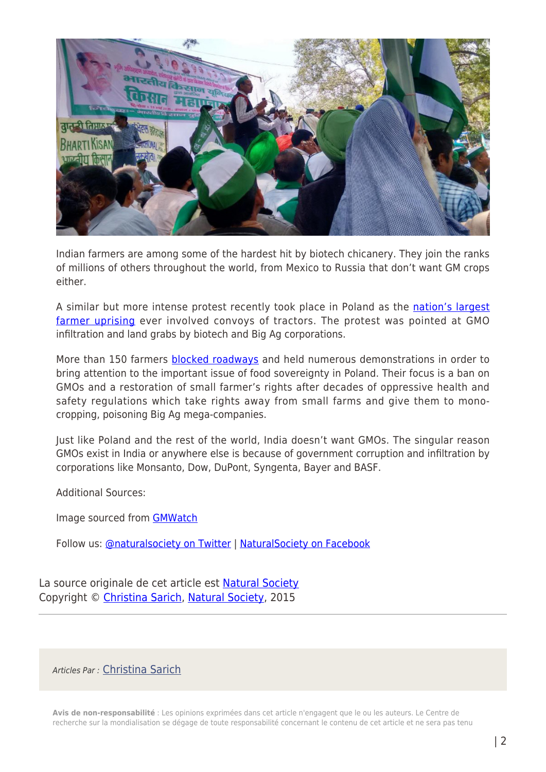

Indian farmers are among some of the hardest hit by biotech chicanery. They join the ranks of millions of others throughout the world, from Mexico to Russia that don't want GM crops either.

A similar but more intense protest recently took place in Poland as the [nation's largest](http://naturalsociety.com/hundreds-of-farmers-block-roads-in-protest-of-monsantos-gmo-crops/) [farmer uprising](http://naturalsociety.com/hundreds-of-farmers-block-roads-in-protest-of-monsantos-gmo-crops/) ever involved convoys of tractors. The protest was pointed at GMO infiltration and land grabs by biotech and Big Ag corporations.

More than 150 farmers **blocked roadways** and held numerous demonstrations in order to bring attention to the important issue of food sovereignty in Poland. Their focus is a ban on GMOs and a restoration of small farmer's rights after decades of oppressive health and safety regulations which take rights away from small farms and give them to monocropping, poisoning Big Ag mega-companies.

Just like Poland and the rest of the world, India doesn't want GMOs. The singular reason GMOs exist in India or anywhere else is because of government corruption and infiltration by corporations like Monsanto, Dow, DuPont, Syngenta, Bayer and BASF.

Additional Sources:

Image sourced from [GMWatch](http://www.gmwatch.org/index.%E2%80%A6/%E2%80%A6/archive/2015-articles/16008)

Follow us: [@naturalsociety on Twitter](http://ec.tynt.com/b/rw?id=a7fR3MuDar4B-Xacwqm_6l&u=naturalsociety) | [NaturalSociety on Facebook](http://ec.tynt.com/b/rf?id=a7fR3MuDar4B-Xacwqm_6l&u=NaturalSociety)

La source originale de cet article est [Natural Society](http://naturalsociety.com/thousands-of-farmers-in-india-rise-up-against-monsanto/) Copyright © [Christina Sarich](https://www.mondialisation.ca/author/christina-sarich), [Natural Society,](http://naturalsociety.com/thousands-of-farmers-in-india-rise-up-against-monsanto/) 2015

Articles Par : [Christina Sarich](https://www.mondialisation.ca/author/christina-sarich)

**Avis de non-responsabilité** : Les opinions exprimées dans cet article n'engagent que le ou les auteurs. Le Centre de recherche sur la mondialisation se dégage de toute responsabilité concernant le contenu de cet article et ne sera pas tenu